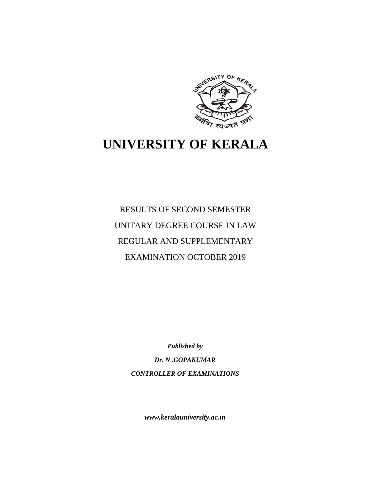

# **UNIVERSITY OF KERALA**

RESULTS OF SECOND SEMESTER UNITARY DEGREE COURSE IN LAW REGULAR AND SUPPLEMENTARY EXAMINATION OCTOBER 2019

*Published by*

*Dr. N .GOPAKUMAR CONTROLLER OF EXAMINATIONS*

*www.keralauniversity.ac.in*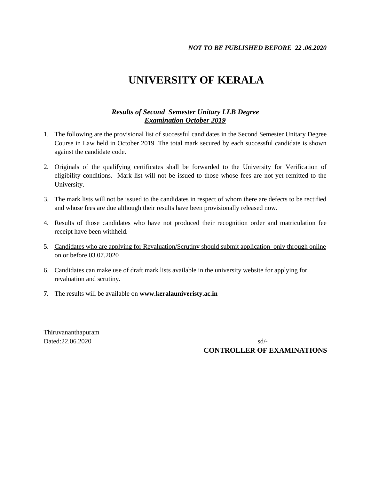## **UNIVERSITY OF KERALA**

#### *Results of Second Semester Unitary LLB Degree Examination October 2019*

- 1. The following are the provisional list of successful candidates in the Second Semester Unitary Degree Course in Law held in October 2019 .The total mark secured by each successful candidate is shown against the candidate code.
- 2. Originals of the qualifying certificates shall be forwarded to the University for Verification of eligibility conditions. Mark list will not be issued to those whose fees are not yet remitted to the University.
- 3. The mark lists will not be issued to the candidates in respect of whom there are defects to be rectified and whose fees are due although their results have been provisionally released now.
- 4. Results of those candidates who have not produced their recognition order and matriculation fee receipt have been withheld.
- 5. Candidates who are applying for Revaluation/Scrutiny should submit application only through online on or before 03.07.2020
- 6. Candidates can make use of draft mark lists available in the university website for applying for revaluation and scrutiny.
- **7.** The results will be available on **www.keralauniveristy.ac.in**

Thiruvananthapuram

Dated:22.06.2020 sd/-**CONTROLLER OF EXAMINATIONS**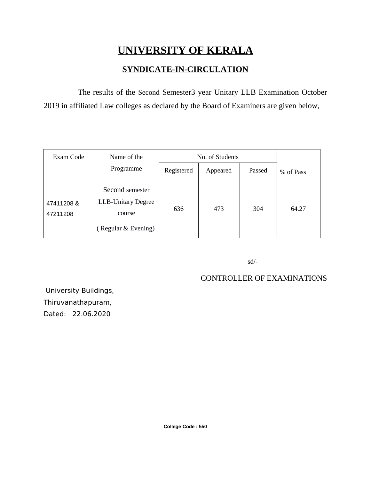## **UNIVERSITY OF KERALA**

### **SYNDICATE-IN-CIRCULATION**

The results of the Second Semester3 year Unitary LLB Examination October 2019 in affiliated Law colleges as declared by the Board of Examiners are given below,

| Exam Code              | Name of the                                                                   | No. of Students |          |        |           |
|------------------------|-------------------------------------------------------------------------------|-----------------|----------|--------|-----------|
|                        | Programme                                                                     | Registered      | Appeared | Passed | % of Pass |
| 47411208 &<br>47211208 | Second semester<br><b>LLB-Unitary Degree</b><br>course<br>(Regular & Evening) | 636             | 473      | 304    | 64.27     |

sd/-

### CONTROLLER OF EXAMINATIONS

 University Buildings, Thiruvanathapuram, Dated: 22.06.2020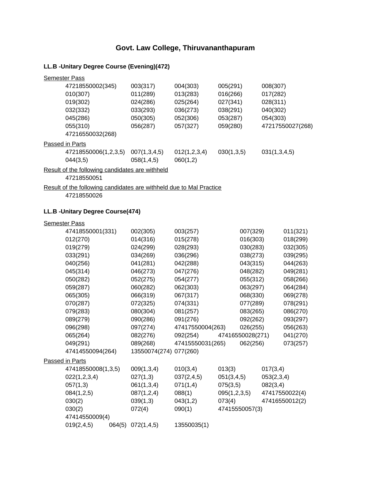#### **Govt. Law College, Thiruvananthapuram**

#### **LL.B -Unitary Degree Course (Evening)(472)**

| <b>Semester Pass</b>                            |              |              |            |                  |
|-------------------------------------------------|--------------|--------------|------------|------------------|
| 47218550002(345)                                | 003(317)     | 004(303)     | 005(291)   | 008(307)         |
| 010(307)                                        | 011(289)     | 013(283)     | 016(266)   | 017(282)         |
| 019(302)                                        | 024(286)     | 025(264)     | 027(341)   | 028(311)         |
| 032(332)                                        | 033(293)     | 036(273)     | 038(291)   | 040(302)         |
| 045(286)                                        | 050(305)     | 052(306)     | 053(287)   | 054(303)         |
| 055(310)                                        | 056(287)     | 057(327)     | 059(280)   | 47217550027(268) |
| 47216550032(268)                                |              |              |            |                  |
| Passed in Parts                                 |              |              |            |                  |
| 47218550006(1,2,3,5)                            | 007(1,3,4,5) | 012(1,2,3,4) | 030(1,3,5) | 031(1,3,4,5)     |
| 044(3,5)                                        | 058(1,4,5)   | 060(1,2)     |            |                  |
| Result of the following candidates are withheld |              |              |            |                  |

47218550051

Result of the following candidates are withheld due to Mal Practice

47218550026

#### **LL.B -Unitary Degree Course(474)**

| <b>Semester Pass</b> |        |                        |                      |              |                  |            |                |
|----------------------|--------|------------------------|----------------------|--------------|------------------|------------|----------------|
| 47418550001(331)     |        | 002(305)               | 003(257)             |              | 007(329)         |            | 011(321)       |
| 012(270)             |        | 014(316)               | 015(278)             |              | 016(303)         |            | 018(299)       |
| 019(279)             |        | 024(299)               | 028(293)             |              | 030(283)         |            | 032(305)       |
| 033(291)             |        | 034(269)               | 036(296)             |              | 038(273)         |            | 039(295)       |
| 040(256)             |        | 041(281)               | 042(288)             |              | 043(315)         |            | 044(263)       |
| 045(314)             |        | 046(273)               | 047(276)             |              | 048(282)         |            | 049(281)       |
| 050(282)             |        | 052(275)               | 054(277)             |              | 055(312)         |            | 058(266)       |
| 059(287)             |        | 060(282)               | 062(303)             |              | 063(297)         |            | 064(284)       |
| 065(305)             |        | 066(319)               | 067(317)             |              | 068(330)         |            | 069(278)       |
| 070(287)             |        | 072(325)               | 074(331)             |              | 077(289)         |            | 078(291)       |
| 079(283)             |        | 080(304)               | 081(257)             |              | 083(265)         |            | 086(270)       |
| 089(279)             |        | 090(286)               | 091(276)<br>092(262) |              |                  | 093(297)   |                |
| 096(298)             |        | 097(274)               | 47417550004(263)     |              | 026(255)         |            | 056(263)       |
| 065(264)             |        | 082(276)               | 092(254)             |              | 47416550028(271) |            | 041(270)       |
| 049(291)             |        | 089(268)               | 47415550031(265)     |              | 062(256)         |            | 073(257)       |
| 47414550094(264)     |        | 13550074(274) 077(260) |                      |              |                  |            |                |
| Passed in Parts      |        |                        |                      |              |                  |            |                |
| 47418550008(1,3,5)   |        | 009(1,3,4)             | 010(3,4)             | 013(3)       |                  | 017(3,4)   |                |
| 022(1,2,3,4)         |        | 027(1,3)               | 037(2,4,5)           | 051(3,4,5)   |                  | 053(2,3,4) |                |
| 057(1,3)             |        | 061(1,3,4)             | 071(1,4)             | 075(3,5)     |                  | 082(3,4)   |                |
| 084(1,2,5)           |        | 087(1,2,4)             | 088(1)               | 095(1,2,3,5) |                  |            | 47417550022(4) |
| 030(2)               |        | 039(1,3)               | 043(1,2)             | 073(4)       |                  |            | 47416550012(2) |
| 030(2)               |        | 072(4)                 | 090(1)               |              | 47415550057(3)   |            |                |
| 47414550009(4)       |        |                        |                      |              |                  |            |                |
| 019(2, 4, 5)         | 064(5) | 072(1,4,5)             | 13550035(1)          |              |                  |            |                |
|                      |        |                        |                      |              |                  |            |                |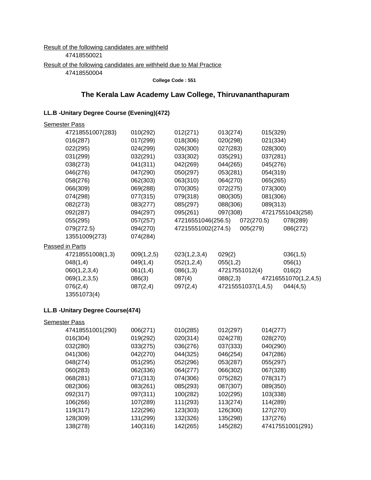#### Result of the following candidates are withheld 47418550021 Result of the following candidates are withheld due to Mal Practice 47418550004

**College Code : 551**

#### **The Kerala Law Academy Law College, Thiruvananthapuram**

#### **LL.B -Unitary Degree Course (Evening)(472)**

| <b>Semester Pass</b> |            |                    |                             |            |                      |
|----------------------|------------|--------------------|-----------------------------|------------|----------------------|
| 47218551007(283)     | 010(292)   | 012(271)           | 013(274)                    | 015(329)   |                      |
| 016(287)             | 017(299)   | 018(306)           | 020(298)                    | 021(334)   |                      |
| 022(295)             | 024(299)   | 026(300)           | 027(283)                    | 028(300)   |                      |
| 031(299)             | 032(291)   | 033(302)           | 035(291)                    | 037(281)   |                      |
| 038(273)             | 041(311)   | 042(269)           | 044(265)                    | 045(276)   |                      |
| 046(276)             | 047(290)   | 050(297)           | 053(281)                    | 054(319)   |                      |
| 058(276)             | 062(303)   | 063(310)           | 064(270)                    | 065(265)   |                      |
| 066(309)             | 069(288)   | 070(305)           | 072(275)                    | 073(300)   |                      |
| 074(298)             | 077(315)   | 079(318)           | 080(305)                    | 081(306)   |                      |
| 082(273)             | 083(277)   | 085(297)           | 088(306)                    | 089(313)   |                      |
| 092(287)             | 094(297)   | 095(261)           | 097(308)                    |            | 47217551043(258)     |
| 055(295)             | 057(257)   | 47216551046(256.5) |                             | 072(270.5) | 078(289)             |
| 079(272.5)           | 094(270)   |                    | 47215551002(274.5) 005(279) |            | 086(272)             |
| 13551009(273)        | 074(284)   |                    |                             |            |                      |
| Passed in Parts      |            |                    |                             |            |                      |
| 47218551008(1,3)     | 009(1,2,5) | 023(1,2,3,4)       | 029(2)                      |            | 036(1,5)             |
| 048(1,4)             | 049(1,4)   | 052(1,2,4)         | 055(1,2)                    |            | 056(1)               |
| 060(1,2,3,4)         | 061(1,4)   | 086(1,3)           | 47217551012(4)              |            | 016(2)               |
| 069(1,2,3,5)         | 086(3)     | 087(4)             | 088(2,3)                    |            | 47216551070(1,2,4,5) |
| 076(2,4)             | 087(2,4)   | 097(2,4)           | 47215551037(1,4,5)          |            | 044(4,5)             |
| 13551073(4)          |            |                    |                             |            |                      |

#### **LL.B -Unitary Degree Course(474)**

| <u>Semester Pass</u> |          |          |          |                  |
|----------------------|----------|----------|----------|------------------|
| 47418551001(290)     | 006(271) | 010(285) | 012(297) | 014(277)         |
| 016(304)             | 019(292) | 020(314) | 024(278) | 028(270)         |
| 032(280)             | 033(275) | 036(276) | 037(333) | 040(290)         |
| 041(306)             | 042(270) | 044(325) | 046(254) | 047(286)         |
| 048(274)             | 051(295) | 052(296) | 053(287) | 055(297)         |
| 060(283)             | 062(336) | 064(277) | 066(302) | 067(328)         |
| 068(281)             | 071(313) | 074(306) | 075(282) | 078(317)         |
| 082(306)             | 083(261) | 085(293) | 087(307) | 089(350)         |
| 092(317)             | 097(311) | 100(282) | 102(295) | 103(338)         |
| 106(266)             | 107(289) | 111(293) | 113(274) | 114(289)         |
| 119(317)             | 122(296) | 123(303) | 126(300) | 127(270)         |
| 128(309)             | 131(299) | 132(326) | 135(298) | 137(276)         |
| 138(278)             | 140(316) | 142(265) | 145(282) | 47417551001(291) |